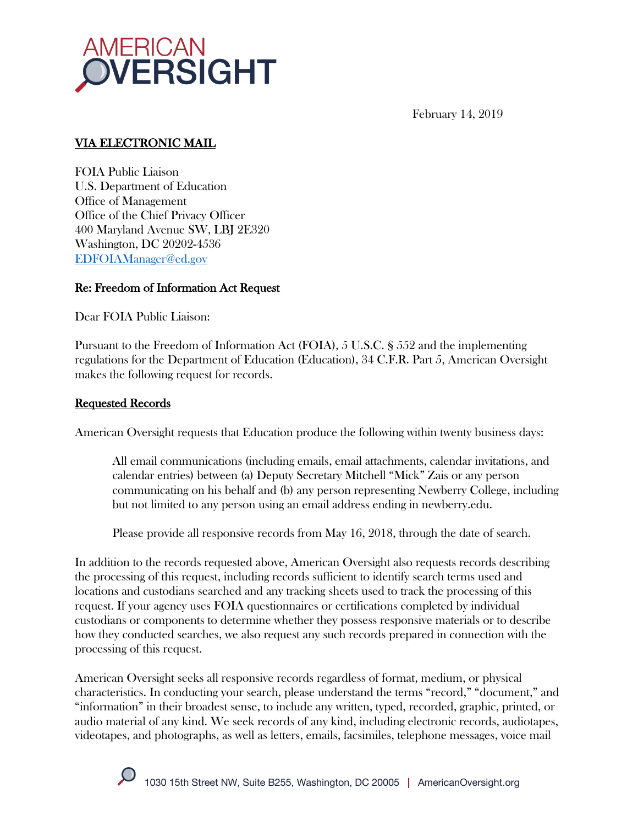

February 14, 2019

# VIA ELECTRONIC MAIL

FOIA Public Liaison U.S. Department of Education Office of Management Office of the Chief Privacy Officer 400 Maryland Avenue SW, LBJ 2E320 Washington, DC 20202-4536 EDFOIAManager@ed.gov

#### Re: Freedom of Information Act Request

Dear FOIA Public Liaison:

Pursuant to the Freedom of Information Act (FOIA), 5 U.S.C. § 552 and the implementing regulations for the Department of Education (Education), 34 C.F.R. Part 5, American Oversight makes the following request for records.

#### Requested Records

American Oversight requests that Education produce the following within twenty business days:

All email communications (including emails, email attachments, calendar invitations, and calendar entries) between (a) Deputy Secretary Mitchell "Mick" Zais or any person communicating on his behalf and (b) any person representing Newberry College, including but not limited to any person using an email address ending in newberry.edu.

Please provide all responsive records from May 16, 2018, through the date of search.

In addition to the records requested above, American Oversight also requests records describing the processing of this request, including records sufficient to identify search terms used and locations and custodians searched and any tracking sheets used to track the processing of this request. If your agency uses FOIA questionnaires or certifications completed by individual custodians or components to determine whether they possess responsive materials or to describe how they conducted searches, we also request any such records prepared in connection with the processing of this request.

American Oversight seeks all responsive records regardless of format, medium, or physical characteristics. In conducting your search, please understand the terms "record," "document," and "information" in their broadest sense, to include any written, typed, recorded, graphic, printed, or audio material of any kind. We seek records of any kind, including electronic records, audiotapes, videotapes, and photographs, as well as letters, emails, facsimiles, telephone messages, voice mail

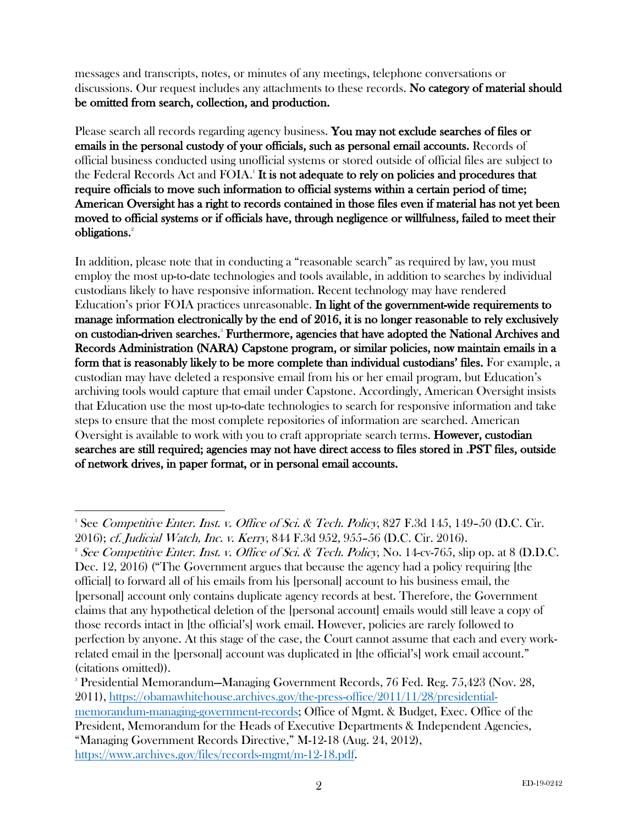messages and transcripts, notes, or minutes of any meetings, telephone conversations or discussions. Our request includes any attachments to these records. No category of material should be omitted from search, collection, and production.

Please search all records regarding agency business. You may not exclude searches of files or emails in the personal custody of your officials, such as personal email accounts. Records of official business conducted using unofficial systems or stored outside of official files are subject to the Federal Records Act and FOIA.<sup>1</sup> It is not adequate to rely on policies and procedures that require officials to move such information to official systems within a certain period of time; American Oversight has a right to records contained in those files even if material has not yet been moved to official systems or if officials have, through negligence or willfulness, failed to meet their obligations.<sup>2</sup>

In addition, please note that in conducting a "reasonable search" as required by law, you must employ the most up-to-date technologies and tools available, in addition to searches by individual custodians likely to have responsive information. Recent technology may have rendered Education's prior FOIA practices unreasonable. In light of the government-wide requirements to manage information electronically by the end of 2016, it is no longer reasonable to rely exclusively on custodian-driven searches.<sup>3</sup> Furthermore, agencies that have adopted the National Archives and Records Administration (NARA) Capstone program, or similar policies, now maintain emails in a form that is reasonably likely to be more complete than individual custodians' files. For example, a custodian may have deleted a responsive email from his or her email program, but Education's archiving tools would capture that email under Capstone. Accordingly, American Oversight insists that Education use the most up-to-date technologies to search for responsive information and take steps to ensure that the most complete repositories of information are searched. American Oversight is available to work with you to craft appropriate search terms. **However, custodian** searches are still required; agencies may not have direct access to files stored in .PST files, outside of network drives, in paper format, or in personal email accounts.

<sup>&</sup>lt;sup>1</sup> See Competitive Enter. Inst. v. Office of Sci. & Tech. Policy, 827 F.3d 145, 149-50 (D.C. Cir. 2016); cf. Judicial Watch, Inc. v. Kerry, 844 F.3d 952, 955–56 (D.C. Cir. 2016). 2

<sup>&</sup>lt;sup>2</sup> See Competitive Enter. Inst. v. Office of Sci. & Tech. Policy, No. 14-cv-765, slip op. at 8 (D.D.C. Dec. 12, 2016) ("The Government argues that because the agency had a policy requiring [the official] to forward all of his emails from his [personal] account to his business email, the [personal] account only contains duplicate agency records at best. Therefore, the Government claims that any hypothetical deletion of the [personal account] emails would still leave a copy of those records intact in [the official's] work email. However, policies are rarely followed to perfection by anyone. At this stage of the case, the Court cannot assume that each and every workrelated email in the [personal] account was duplicated in [the official's] work email account." (citations omitted)).

<sup>3</sup> Presidential Memorandum—Managing Government Records, 76 Fed. Reg. 75,423 (Nov. 28, 2011), https://obamawhitehouse.archives.gov/the-press-office/2011/11/28/presidentialmemorandum-managing-government-records; Office of Mgmt. & Budget, Exec. Office of the President, Memorandum for the Heads of Executive Departments & Independent Agencies, "Managing Government Records Directive," M-12-18 (Aug. 24, 2012), https://www.archives.gov/files/records-mgmt/m-12-18.pdf.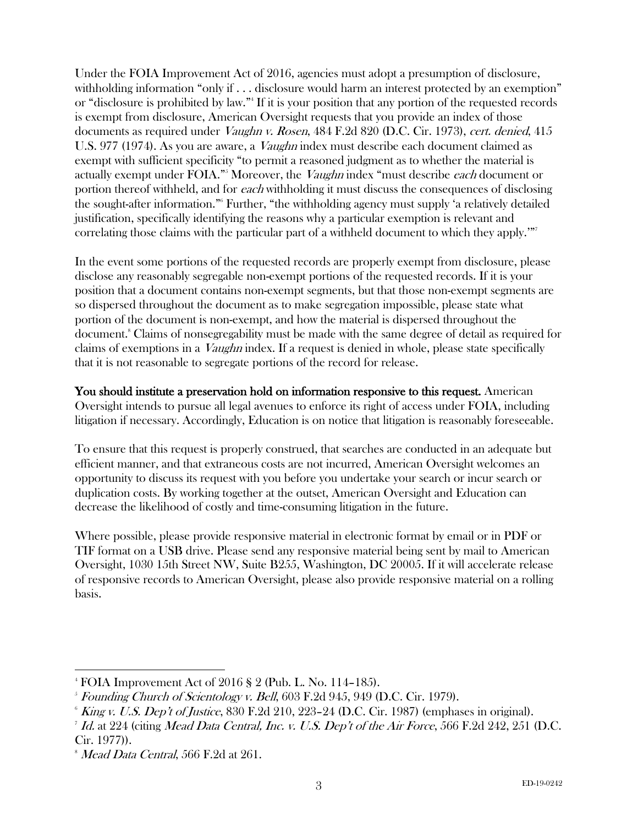Under the FOIA Improvement Act of 2016, agencies must adopt a presumption of disclosure, withholding information "only if . . . disclosure would harm an interest protected by an exemption" or "disclosure is prohibited by law."4 If it is your position that any portion of the requested records is exempt from disclosure, American Oversight requests that you provide an index of those documents as required under *Vaughn v. Rosen*, 484 F.2d 820 (D.C. Cir. 1973), cert. denied, 415 U.S. 977 (1974). As you are aware, a *Vaughn* index must describe each document claimed as exempt with sufficient specificity "to permit a reasoned judgment as to whether the material is actually exempt under FOIA."<sup>5</sup> Moreover, the *Vaughn* index "must describe *each* document or portion thereof withheld, and for each withholding it must discuss the consequences of disclosing the sought-after information."6 Further, "the withholding agency must supply 'a relatively detailed justification, specifically identifying the reasons why a particular exemption is relevant and correlating those claims with the particular part of a withheld document to which they apply.""

In the event some portions of the requested records are properly exempt from disclosure, please disclose any reasonably segregable non-exempt portions of the requested records. If it is your position that a document contains non-exempt segments, but that those non-exempt segments are so dispersed throughout the document as to make segregation impossible, please state what portion of the document is non-exempt, and how the material is dispersed throughout the document.<sup>8</sup> Claims of nonsegregability must be made with the same degree of detail as required for claims of exemptions in a Vaughn index. If a request is denied in whole, please state specifically that it is not reasonable to segregate portions of the record for release.

You should institute a preservation hold on information responsive to this request. American Oversight intends to pursue all legal avenues to enforce its right of access under FOIA, including litigation if necessary. Accordingly, Education is on notice that litigation is reasonably foreseeable.

To ensure that this request is properly construed, that searches are conducted in an adequate but efficient manner, and that extraneous costs are not incurred, American Oversight welcomes an opportunity to discuss its request with you before you undertake your search or incur search or duplication costs. By working together at the outset, American Oversight and Education can decrease the likelihood of costly and time-consuming litigation in the future.

Where possible, please provide responsive material in electronic format by email or in PDF or TIF format on a USB drive. Please send any responsive material being sent by mail to American Oversight, 1030 15th Street NW, Suite B255, Washington, DC 20005. If it will accelerate release of responsive records to American Oversight, please also provide responsive material on a rolling basis.

<sup>&</sup>lt;sup>-</sup><br>4 FOIA Improvement Act of 2016 § 2 (Pub. L. No. 114–185).

 $5$  Founding Church of Scientology v. Bell, 603 F.2d 945, 949 (D.C. Cir. 1979).

 $^{\circ}$  *King v. U.S. Dep't of Justice*, 830 F.2d 210, 223–24 (D.C. Cir. 1987) (emphases in original).

<sup>&</sup>lt;sup>7</sup> Id. at 224 (citing *Mead Data Central, Inc. v. U.S. Dep't of the Air Force*, 566 F.2d 242, 251 (D.C. Cir. 1977)).

 $^{\circ}$  *Mead Data Central,* 566 F.2d at 261.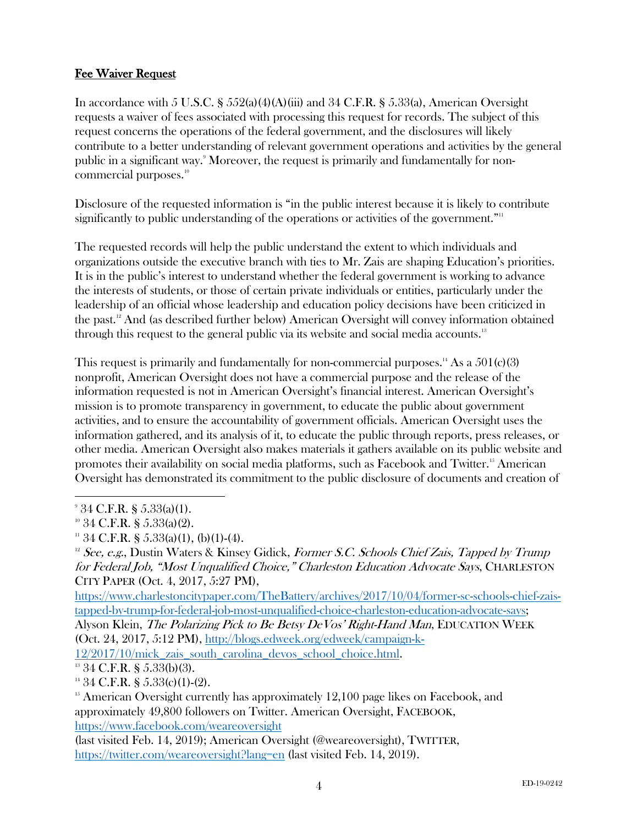## Fee Waiver Request

In accordance with 5 U.S.C. §  $552(a)(4)(A)(iii)$  and 34 C.F.R. §  $5.33(a)$ , American Oversight requests a waiver of fees associated with processing this request for records. The subject of this request concerns the operations of the federal government, and the disclosures will likely contribute to a better understanding of relevant government operations and activities by the general public in a significant way.9 Moreover, the request is primarily and fundamentally for noncommercial purposes.<sup>10</sup>

Disclosure of the requested information is "in the public interest because it is likely to contribute significantly to public understanding of the operations or activities of the government."<sup>11</sup>

The requested records will help the public understand the extent to which individuals and organizations outside the executive branch with ties to Mr. Zais are shaping Education's priorities. It is in the public's interest to understand whether the federal government is working to advance the interests of students, or those of certain private individuals or entities, particularly under the leadership of an official whose leadership and education policy decisions have been criticized in the past. <sup>12</sup> And (as described further below) American Oversight will convey information obtained through this request to the general public via its website and social media accounts.<sup>13</sup>

This request is primarily and fundamentally for non-commercial purposes.<sup>14</sup> As a  $501(c)(3)$ nonprofit, American Oversight does not have a commercial purpose and the release of the information requested is not in American Oversight's financial interest. American Oversight's mission is to promote transparency in government, to educate the public about government activities, and to ensure the accountability of government officials. American Oversight uses the information gathered, and its analysis of it, to educate the public through reports, press releases, or other media. American Oversight also makes materials it gathers available on its public website and promotes their availability on social media platforms, such as Facebook and Twitter.<sup>15</sup> American Oversight has demonstrated its commitment to the public disclosure of documents and creation of

https://www.charlestoncitypaper.com/TheBattery/archives/2017/10/04/former-sc-schools-chief-zaistapped-by-trump-for-federal-job-most-unqualified-choice-charleston-education-advocate-says;

Alyson Klein, The Polarizing Pick to Be Betsy DeVos' Right-Hand Man, EDUCATION WEEK (Oct. 24, 2017, 5:12 PM), http://blogs.edweek.org/edweek/campaign-k-

12/2017/10/mick\_zais\_south\_carolina\_devos\_school\_choice.html.

 $13$  34 C.F.R. § 5.33(b)(3).

 $14\,34$  C.F.R. § 5.33(c)(1)-(2).

<sup>15</sup> American Oversight currently has approximately 12,100 page likes on Facebook, and approximately 49,800 followers on Twitter. American Oversight, FACEBOOK, https://www.facebook.com/weareoversight

(last visited Feb. 14, 2019); American Oversight (@weareoversight), TWITTER, https://twitter.com/weareoversight?lang=en (last visited Feb. 14, 2019).

<sup>-&</sup>lt;br>9  $34$  C.F.R. § 5.33(a)(1).

 $10\,34$  C.F.R. § 5.33(a)(2).

 $11$  34 C.F.R. § 5.33(a)(1), (b)(1)-(4).

 $12$  See, e.g., Dustin Waters & Kinsey Gidick, Former S.C. Schools Chief Zais, Tapped by Trump for Federal Job, "Most Unqualified Choice," Charleston Education Advocate Says, CHARLESTON CITY PAPER (Oct. 4, 2017, 5:27 PM),